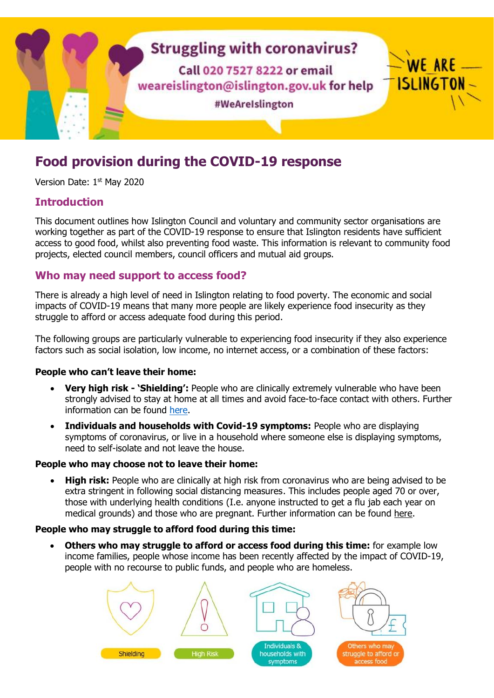

# **Food provision during the COVID-19 response**

Version Date: 1st May 2020

# **Introduction**

This document outlines how Islington Council and voluntary and community sector organisations are working together as part of the COVID-19 response to ensure that Islington residents have sufficient access to good food, whilst also preventing food waste. This information is relevant to community food projects, elected council members, council officers and mutual aid groups.

### **Who may need support to access food?**

There is already a high level of need in Islington relating to food poverty. The economic and social impacts of COVID-19 means that many more people are likely experience food insecurity as they struggle to afford or access adequate food during this period.

The following groups are particularly vulnerable to experiencing food insecurity if they also experience factors such as social isolation, low income, no internet access, or a combination of these factors:

### **People who can't leave their home:**

- **Very high risk - 'Shielding':** People who are clinically extremely vulnerable who have been strongly advised to stay at home at all times and avoid face-to-face contact with others. Further information can be found [here.](https://www.gov.uk/government/publications/guidance-on-shielding-and-protecting-extremely-vulnerable-persons-from-covid-19/guidance-on-shielding-and-protecting-extremely-vulnerable-persons-from-covid-19)
- **Individuals and households with Covid-19 symptoms:** People who are displaying symptoms of coronavirus, or live in a household where someone else is displaying symptoms, need to self-isolate and not leave the house.

### **People who may choose not to leave their home:**

 **High risk:** People who are clinically at high risk from coronavirus who are being advised to be extra stringent in following social distancing measures. This includes people aged 70 or over, those with underlying health conditions (I.e. anyone instructed to get a flu jab each year on medical grounds) and those who are pregnant. Further information can be found [here.](https://www.gov.uk/government/publications/covid-19-guidance-on-social-distancing-and-for-vulnerable-people/guidance-on-social-distancing-for-everyone-in-the-uk-and-protecting-older-people-and-vulnerable-adults)

### **People who may struggle to afford food during this time:**

 **Others who may struggle to afford or access food during this time:** for example low income families, people whose income has been recently affected by the impact of COVID-19, people with no recourse to public funds, and people who are homeless.

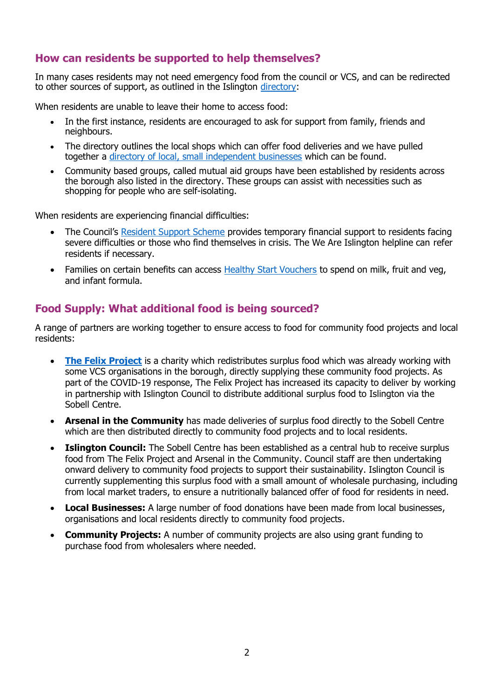# **How can residents be supported to help themselves?**

In many cases residents may not need emergency food from the council or VCS, and can be redirected to other sources of support, as outlined in the Islington [directory:](https://directory.islington.gov.uk/kb5/islington/directory/results.page?communitychannelnew=13)

When residents are unable to leave their home to access food:

- In the first instance, residents are encouraged to ask for support from family, friends and neighbours.
- The directory outlines the local shops which can offer food deliveries and we have pulled together a directory of [local, small independent businesses](https://islingtonlife.london/discover-islington/blog/supporting-local-businesses/) which can be found.
- Community based groups, called mutual aid groups have been established by residents across the borough also listed in the directory. These groups can assist with necessities such as shopping for people who are self-isolating.

When residents are experiencing financial difficulties:

- The Council's [Resident Support Scheme](https://www.islington.gov.uk/advice/resident-support-scheme) provides temporary financial support to residents facing severe difficulties or those who find themselves in crisis. The We Are Islington helpline can refer residents if necessary.
- Families on certain benefits can access [Healthy Start Vouchers](https://www.healthystart.nhs.uk/) to spend on milk, fruit and veg, and infant formula.

# **Food Supply: What additional food is being sourced?**

A range of partners are working together to ensure access to food for community food projects and local residents:

- **[The Felix Project](https://thefelixproject.org/)** is a charity which redistributes surplus food which was already working with some VCS organisations in the borough, directly supplying these community food projects. As part of the COVID-19 response, The Felix Project has increased its capacity to deliver by working in partnership with Islington Council to distribute additional surplus food to Islington via the Sobell Centre.
- **Arsenal in the Community** has made deliveries of surplus food directly to the Sobell Centre which are then distributed directly to community food projects and to local residents.
- **Islington Council:** The Sobell Centre has been established as a central hub to receive surplus food from The Felix Project and Arsenal in the Community. Council staff are then undertaking onward delivery to community food projects to support their sustainability. Islington Council is currently supplementing this surplus food with a small amount of wholesale purchasing, including from local market traders, to ensure a nutritionally balanced offer of food for residents in need.
- **Local Businesses:** A large number of food donations have been made from local businesses, organisations and local residents directly to community food projects.
- **Community Projects:** A number of community projects are also using grant funding to purchase food from wholesalers where needed.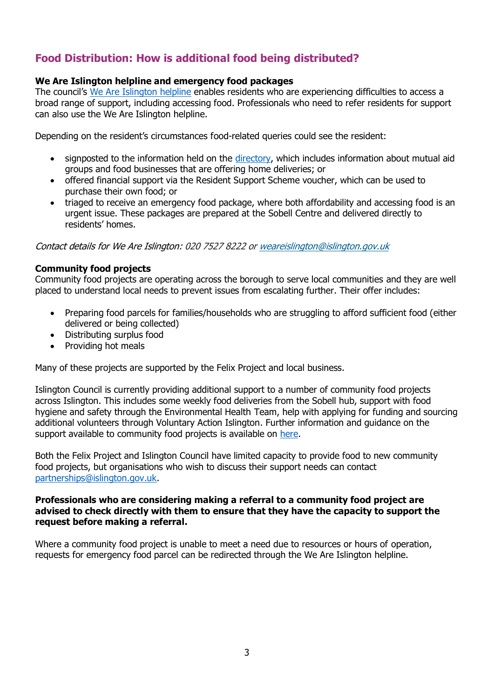# **Food Distribution: How is additional food being distributed?**

### **We Are Islington helpline and emergency food packages**

The council's [We Are Islington helpline](https://www.islington.gov.uk/social-care-and-health/coronavirus-covid-19/need-help) enables residents who are experiencing difficulties to access a broad range of support, including accessing food. Professionals who need to refer residents for support can also use the We Are Islington helpline.

Depending on the resident's circumstances food-related queries could see the resident:

- signposted to the information held on the [directory,](https://directory.islington.gov.uk/kb5/islington/directory/results.page?communitychannelnew=13) which includes information about mutual aid groups and food businesses that are offering home deliveries; or
- offered financial support via the Resident Support Scheme voucher, which can be used to purchase their own food; or
- triaged to receive an emergency food package, where both affordability and accessing food is an urgent issue. These packages are prepared at the Sobell Centre and delivered directly to residents' homes.

Contact details for We Are Islington: 020 7527 8222 o[r weareislington@islington.gov.uk](mailto:mailto:weareislington@islington.gov.uk?subject=Need%20help%20during%20the%20coronavirus%20outbreak)

### **Community food projects**

Community food projects are operating across the borough to serve local communities and they are well placed to understand local needs to prevent issues from escalating further. Their offer includes:

- Preparing food parcels for families/households who are struggling to afford sufficient food (either delivered or being collected)
- Distributing surplus food
- Providing hot meals

Many of these projects are supported by the Felix Project and local business.

Islington Council is currently providing additional support to a number of community food projects across Islington. This includes some weekly food deliveries from the Sobell hub, support with food hygiene and safety through the Environmental Health Team, help with applying for funding and sourcing additional volunteers through Voluntary Action Islington. Further information and guidance on the support available to community food projects is available on [here.](https://www.islington.gov.uk/advice/voluntary-and-community-sector)

Both the Felix Project and Islington Council have limited capacity to provide food to new community food projects, but organisations who wish to discuss their support needs can contact [partnerships@islington.gov.uk.](mailto:partnerships@islington.gov.uk)

### **Professionals who are considering making a referral to a community food project are advised to check directly with them to ensure that they have the capacity to support the request before making a referral.**

Where a community food project is unable to meet a need due to resources or hours of operation, requests for emergency food parcel can be redirected through the We Are Islington helpline.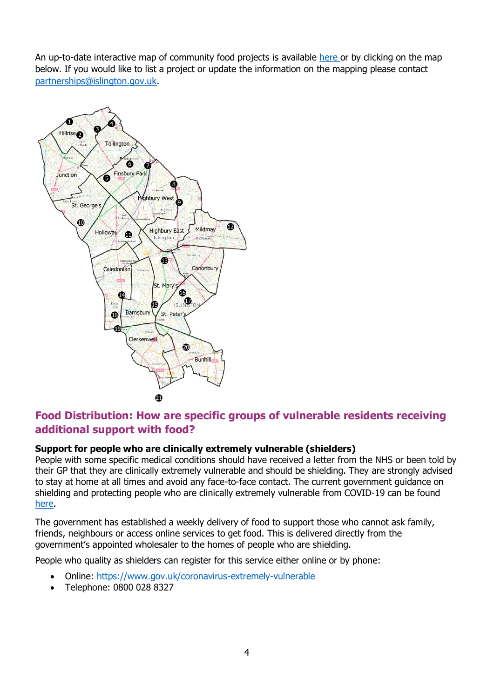An up-to-date interactive map of community food projects is available [here](https://www.google.com/maps/d/u/0/viewer?mid=1q1fPMq0VxnG6NddjxIJGDOtVl6GhmZ-4&ll=51.54459741913022%2C-0.10659495000004426&z=13) or by clicking on the map below. If you would like to list a project or update the information on the mapping please contact [partnerships@islington.gov.uk.](mailto:partnerships@islington.gov.uk)



# **Food Distribution: How are specific groups of vulnerable residents receiving additional support with food?**

### **Support for people who are clinically extremely vulnerable (shielders)**

People with some specific medical conditions should have received a letter from the NHS or been told by their GP that they are clinically extremely vulnerable and should be shielding. They are strongly advised to stay at home at all times and avoid any face-to-face contact. The current government guidance on shielding and protecting people who are clinically extremely vulnerable from COVID-19 can be found [here.](https://www.gov.uk/government/publications/guidance-on-shielding-and-protecting-extremely-vulnerable-persons-from-covid-19/guidance-on-shielding-and-protecting-extremely-vulnerable-persons-from-covid-19)

The government has established a weekly delivery of food to support those who cannot ask family, friends, neighbours or access online services to get food. This is delivered directly from the government's appointed wholesaler to the homes of people who are shielding.

People who quality as shielders can register for this service either online or by phone:

- Online:<https://www.gov.uk/coronavirus-extremely-vulnerable>
- Telephone: 0800 028 8327